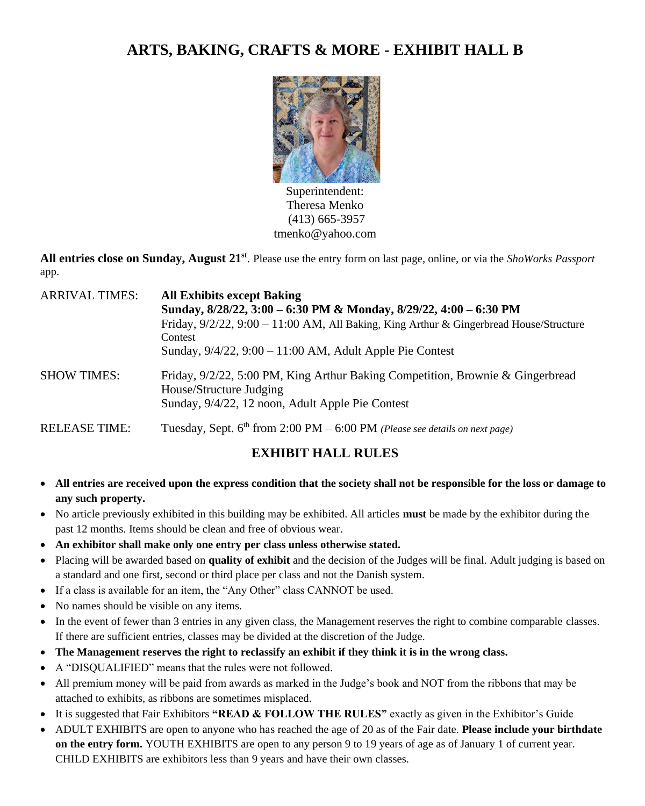# **ARTS, BAKING, CRAFTS & MORE - EXHIBIT HALL B**



Superintendent: Theresa Menko (413) 665-3957 tmenko@yahoo.com

**All entries close on Sunday, August 21 st** . Please use the entry form on last page, online, or via the *ShoWorks Passport* app.

| <b>ARRIVAL TIMES:</b> | <b>All Exhibits except Baking</b><br>Sunday, 8/28/22, 3:00 - 6:30 PM & Monday, 8/29/22, 4:00 - 6:30 PM<br>Friday, $9/2/22$ , $9:00 - 11:00$ AM, All Baking, King Arthur & Gingerbread House/Structure<br>Contest<br>Sunday, $9/4/22$ , $9:00 - 11:00$ AM, Adult Apple Pie Contest |
|-----------------------|-----------------------------------------------------------------------------------------------------------------------------------------------------------------------------------------------------------------------------------------------------------------------------------|
| <b>SHOW TIMES:</b>    | Friday, 9/2/22, 5:00 PM, King Arthur Baking Competition, Brownie & Gingerbread<br>House/Structure Judging<br>Sunday, 9/4/22, 12 noon, Adult Apple Pie Contest                                                                                                                     |
| <b>RELEASE TIME:</b>  | Tuesday, Sept. 6 <sup>th</sup> from 2:00 PM - 6:00 PM (Please see details on next page)                                                                                                                                                                                           |

# **EXHIBIT HALL RULES**

- **All entries are received upon the express condition that the society shall not be responsible for the loss or damage to any such property.**
- No article previously exhibited in this building may be exhibited. All articles **must** be made by the exhibitor during the past 12 months. Items should be clean and free of obvious wear.
- **An exhibitor shall make only one entry per class unless otherwise stated.**
- Placing will be awarded based on **quality of exhibit** and the decision of the Judges will be final. Adult judging is based on a standard and one first, second or third place per class and not the Danish system.
- If a class is available for an item, the "Any Other" class CANNOT be used.
- No names should be visible on any items.
- In the event of fewer than 3 entries in any given class, the Management reserves the right to combine comparable classes. If there are sufficient entries, classes may be divided at the discretion of the Judge.
- **The Management reserves the right to reclassify an exhibit if they think it is in the wrong class.**
- A "DISQUALIFIED" means that the rules were not followed.
- All premium money will be paid from awards as marked in the Judge's book and NOT from the ribbons that may be attached to exhibits, as ribbons are sometimes misplaced.
- It is suggested that Fair Exhibitors **"READ & FOLLOW THE RULES"** exactly as given in the Exhibitor's Guide
- ADULT EXHIBITS are open to anyone who has reached the age of 20 as of the Fair date. **Please include your birthdate on the entry form.** YOUTH EXHIBITS are open to any person 9 to 19 years of age as of January 1 of current year. CHILD EXHIBITS are exhibitors less than 9 years and have their own classes.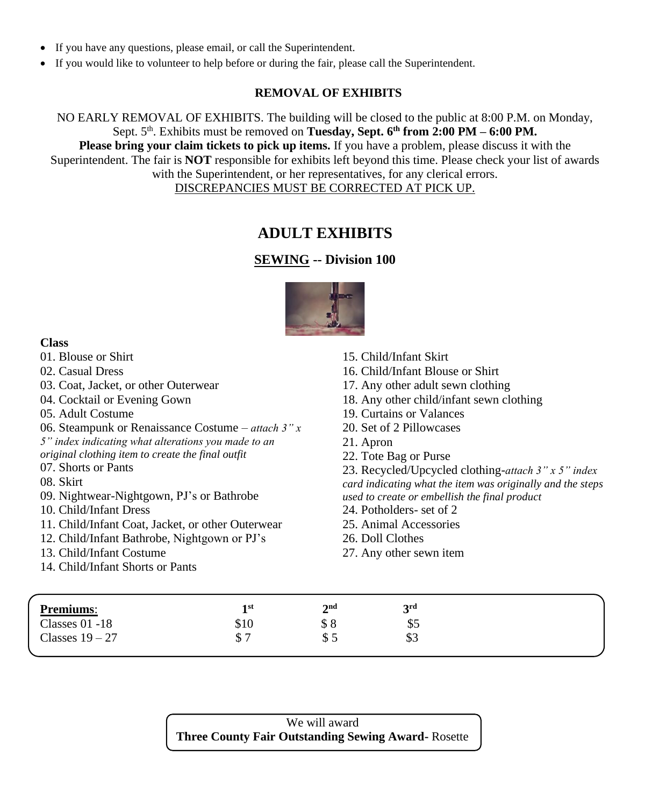- If you have any questions, please email, or call the Superintendent.
- If you would like to volunteer to help before or during the fair, please call the Superintendent.

### **REMOVAL OF EXHIBITS**

NO EARLY REMOVAL OF EXHIBITS. The building will be closed to the public at 8:00 P.M. on Monday, Sept. 5<sup>th</sup>. Exhibits must be removed on **Tuesday, Sept. 6<sup>th</sup> from 2:00 PM – 6:00 PM. Please bring your claim tickets to pick up items.** If you have a problem, please discuss it with the Superintendent. The fair is **NOT** responsible for exhibits left beyond this time. Please check your list of awards with the Superintendent, or her representatives, for any clerical errors. DISCREPANCIES MUST BE CORRECTED AT PICK UP.

# **ADULT EXHIBITS**

### **SEWING -- Division 100**



#### **Class**

| <b>Class</b>                                         |                                                            |
|------------------------------------------------------|------------------------------------------------------------|
| 01. Blouse or Shirt                                  | 15. Child/Infant Skirt                                     |
| 02. Casual Dress                                     | 16. Child/Infant Blouse or Shirt                           |
| 03. Coat, Jacket, or other Outerwear                 | 17. Any other adult sewn clothing                          |
| 04. Cocktail or Evening Gown                         | 18. Any other child/infant sewn clothing                   |
| 05. Adult Costume                                    | 19. Curtains or Valances                                   |
| 06. Steampunk or Renaissance Costume – attach $3''x$ | 20. Set of 2 Pillowcases                                   |
| 5" index indicating what alterations you made to an  | 21. Apron                                                  |
| original clothing item to create the final outfit    | 22. Tote Bag or Purse                                      |
| 07. Shorts or Pants                                  | 23. Recycled/Upcycled clothing-attach 3" x 5" index        |
| 08. Skirt                                            | card indicating what the item was originally and the steps |
| 09. Nightwear-Nightgown, PJ's or Bathrobe            | used to create or embellish the final product              |
| 10. Child/Infant Dress                               | 24. Potholders- set of 2                                   |
| 11. Child/Infant Coat, Jacket, or other Outerwear    | 25. Animal Accessories                                     |
| 12. Child/Infant Bathrobe, Nightgown or PJ's         | 26. Doll Clothes                                           |
| 13. Child/Infant Costume                             | 27. Any other sewn item                                    |
| 14. Child/Infant Shorts or Pants                     |                                                            |
|                                                      |                                                            |
|                                                      |                                                            |

| <b>Premiums:</b>  | 1 st | 2nd<br>$\overline{ }$ | <b>2rd</b> |
|-------------------|------|-----------------------|------------|
| Classes $01 - 18$ | \$10 | აი                    | \$5        |
| Classes $19-27$   | Φ    | ₾.<br>ت دی            | \$3        |

We will award **Three County Fair Outstanding Sewing Award-** Rosette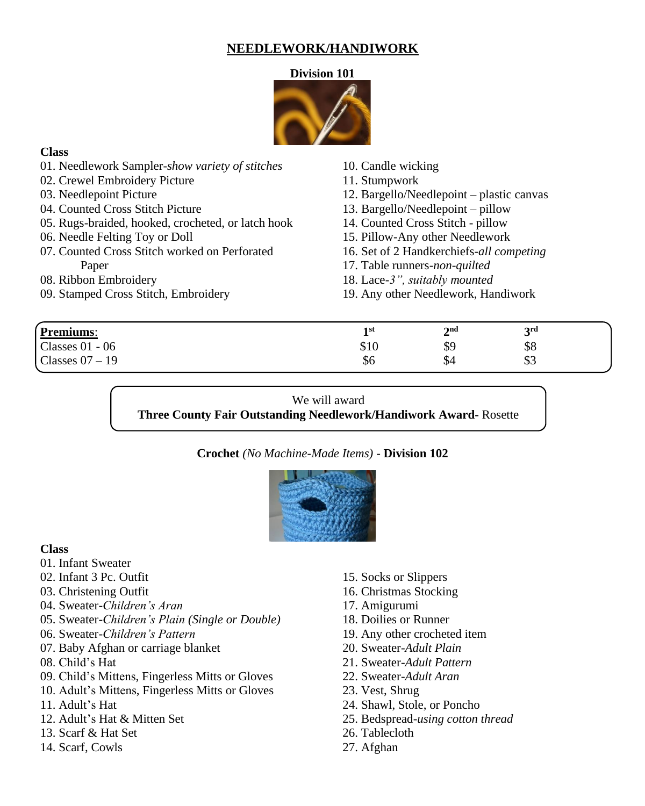### **NEEDLEWORK/HANDIWORK**

### **Division 101**



### **Class**

| 01. Needlework Sampler-show variety of stitches    | 10. Candle wicking                        |
|----------------------------------------------------|-------------------------------------------|
| 02. Crewel Embroidery Picture                      | 11. Stumpwork                             |
| 03. Needlepoint Picture                            | 12. Bargello/Needlepoint – plastic canvas |
| 04. Counted Cross Stitch Picture                   | 13. Bargello/Needlepoint – pillow         |
| 05. Rugs-braided, hooked, crocheted, or latch hook | 14. Counted Cross Stitch - pillow         |
| 06. Needle Felting Toy or Doll                     | 15. Pillow-Any other Needlework           |
| 07. Counted Cross Stitch worked on Perforated      | 16. Set of 2 Handkerchiefs-all competing  |
| Paper                                              | 17. Table runners-non-quilted             |
| 08. Ribbon Embroidery                              | 18. Lace-3", suitably mounted             |
| 09. Stamped Cross Stitch, Embroidery               | 19. Any other Needlework, Handiwork       |
|                                                    |                                           |

| Premiums:         | 1 st<br><u>_</u> | 2 <sub>nd</sub>     | 2rd<br>ັ  |  |
|-------------------|------------------|---------------------|-----------|--|
| Classes $01 - 06$ | \$10             | \$9                 | \$8       |  |
| Classes $07 - 19$ | \$6              | $\mathbf{C}$<br>J-4 | ሰሳ<br>0 ق |  |
|                   |                  |                     |           |  |

### We will award

 $\overline{a}$ 

**Three County Fair Outstanding Needlework/Handiwork Award-** Rosette

### **Crochet** *(No Machine-Made Items)* - **Division 102**



### **Class**

- 01. Infant Sweater
- 02. Infant 3 Pc. Outfit
- 03. Christening Outfit
- 04. Sweater-*Children's Aran*
- 05. Sweater-*Children's Plain (Single or Double)*
- 06. Sweater-*Children's Pattern*
- 07. Baby Afghan or carriage blanket
- 08. Child's Hat
- 09. Child's Mittens, Fingerless Mitts or Gloves
- 10. Adult's Mittens, Fingerless Mitts or Gloves
- 11. Adult's Hat
- 12. Adult's Hat & Mitten Set
- 13. Scarf & Hat Set
- 14. Scarf, Cowls
- 15. Socks or Slippers
- 16. Christmas Stocking
- 17. Amigurumi
- 18. Doilies or Runner
- 19. Any other crocheted item
- 20. Sweater-*Adult Plain*
- 21. Sweater-*Adult Pattern*
- 22. Sweater-*Adult Aran*
- 23. Vest, Shrug
- 24. Shawl, Stole, or Poncho
- 25. Bedspread-*using cotton thread*
- 26. Tablecloth
- 27. Afghan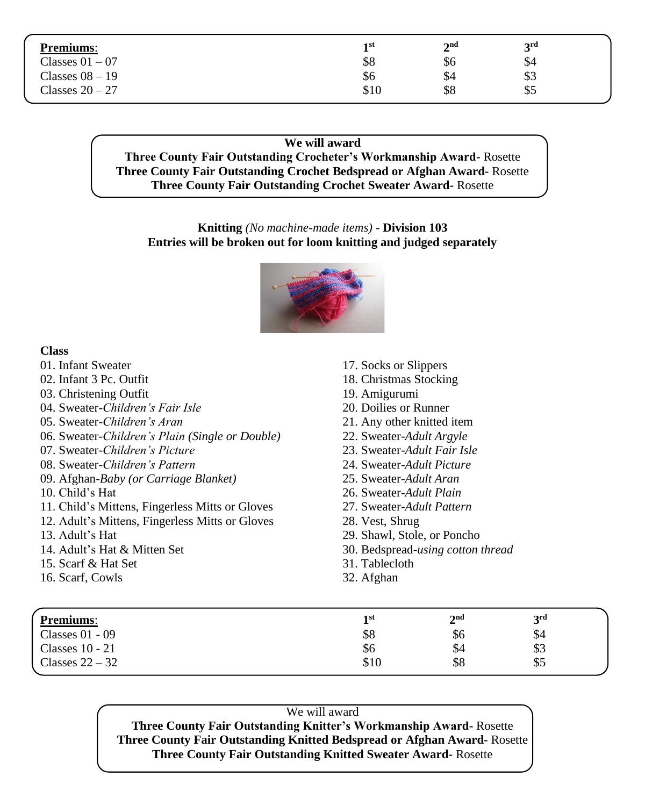| <b>Premiums:</b>  | 1 st | $2^{\rm nd}$ | <b>3rd</b> |  |
|-------------------|------|--------------|------------|--|
| Classes $01 - 07$ | \$8  | \$6          | \$4        |  |
| Classes $08 - 19$ | \$6  | \$4          | \$3        |  |
| Classes $20 - 27$ | \$10 | \$8          | \$5        |  |

### **We will award Three County Fair Outstanding Crocheter's Workmanship Award-** Rosette **Three County Fair Outstanding Crochet Bedspread or Afghan Award-** Rosette **Three County Fair Outstanding Crochet Sweater Award-** Rosette

### **Knitting** *(No machine-made items)* - **Division 103 Entries will be broken out for loom knitting and judged separately**



### **Class**

| 17. Socks or Slippers             |
|-----------------------------------|
| 18. Christmas Stocking            |
| 19. Amigurumi                     |
| 20. Doilies or Runner             |
| 21. Any other knitted item        |
| 22. Sweater-Adult Argyle          |
| 23. Sweater-Adult Fair Isle       |
| 24. Sweater-Adult Picture         |
| 25. Sweater-Adult Aran            |
| 26. Sweater-Adult Plain           |
| 27. Sweater-Adult Pattern         |
| 28. Vest, Shrug                   |
| 29. Shawl, Stole, or Poncho       |
| 30. Bedspread-using cotton thread |
| 31. Tablecloth                    |
| 32. Afghan                        |
|                                   |
|                                   |
|                                   |

| Premiums:         | 1 st | $\boldsymbol{\gamma}$ nd<br>◢ | 2rd<br>ັ |  |
|-------------------|------|-------------------------------|----------|--|
| Classes $01 - 09$ | \$8  | \$6                           | \$4      |  |
| Classes $10 - 21$ | \$6  | \$4                           | \$3      |  |
| Classes $22 - 32$ | \$10 | \$8                           | \$5      |  |

We will award **Three County Fair Outstanding Knitter's Workmanship Award-** Rosette **Three County Fair Outstanding Knitted Bedspread or Afghan Award-** Rosette **Three County Fair Outstanding Knitted Sweater Award-** Rosette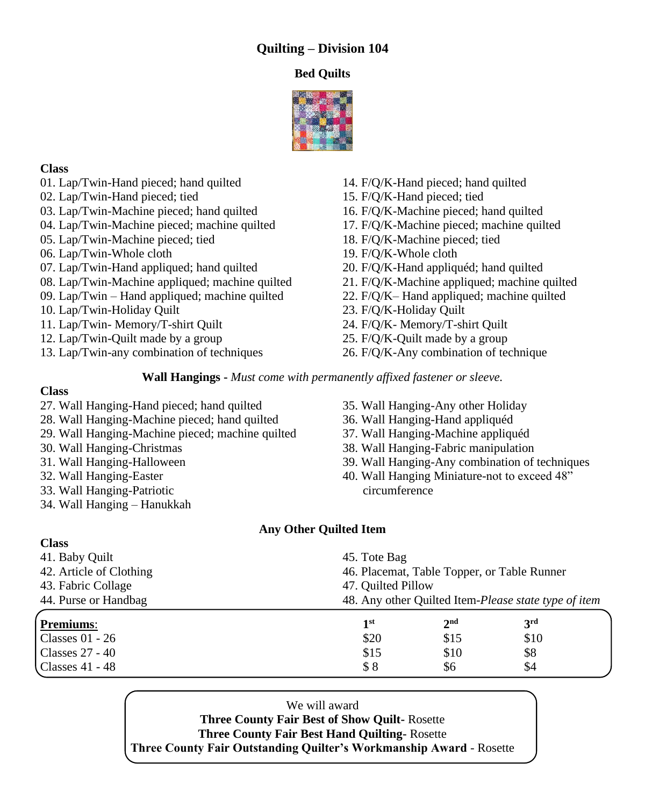# **Quilting – Division 104**

### **Bed Quilts**



### **Class**

- 01. Lap/Twin-Hand pieced; hand quilted
- 02. Lap/Twin**-**Hand pieced; tied
- 03. Lap/Twin-Machine pieced; hand quilted
- 04. Lap/Twin-Machine pieced; machine quilted
- 05. Lap/Twin-Machine pieced; tied
- 06. Lap/Twin-Whole cloth
- 07. Lap/Twin-Hand appliqued; hand quilted
- 08. Lap/Twin-Machine appliqued; machine quilted
- 09. Lap/Twin Hand appliqued; machine quilted
- 10. Lap/Twin-Holiday Quilt
- 11. Lap/Twin- Memory/T-shirt Quilt
- 12. Lap/Twin-Quilt made by a group
- 13. Lap/Twin-any combination of techniques
- 14. F/Q/K-Hand pieced; hand quilted
- 15. F/Q/K-Hand pieced; tied
- 16. F/Q/K-Machine pieced; hand quilted
- 17. F/Q/K-Machine pieced; machine quilted
- 18. F/Q/K-Machine pieced; tied
- 19. F/Q/K-Whole cloth
- 20. F/Q/K-Hand appliquéd; hand quilted
- 21. F/Q/K-Machine appliqued; machine quilted
- 22. F/Q/K– Hand appliqued; machine quilted
- 23. F/Q/K-Holiday Quilt
- 24. F/Q/K- Memory/T-shirt Quilt
- 25. F/Q/K-Quilt made by a group
- 26. F/Q/K-Any combination of technique

**Wall Hangings -** *Must come with permanently affixed fastener or sleeve.*

### **Class**

- 27. Wall Hanging-Hand pieced; hand quilted
- 28. Wall Hanging-Machine pieced; hand quilted
- 29. Wall Hanging-Machine pieced; machine quilted
- 30. Wall Hanging-Christmas
- 31. Wall Hanging-Halloween
- 32. Wall Hanging-Easter
- 33. Wall Hanging-Patriotic
- 34. Wall Hanging Hanukkah
- 35. Wall Hanging-Any other Holiday
- 36. Wall Hanging-Hand appliquéd
- 37. Wall Hanging-Machine appliquéd
- 38. Wall Hanging-Fabric manipulation
- 39. Wall Hanging-Any combination of techniques
- 40. Wall Hanging Miniature-not to exceed 48" circumference

### **Any Other Quilted Item**

| <b>Class</b>            |                                                             |                 |                                                      |  |
|-------------------------|-------------------------------------------------------------|-----------------|------------------------------------------------------|--|
| 41. Baby Quilt          | 45. Tote Bag<br>46. Placemat, Table Topper, or Table Runner |                 |                                                      |  |
| 42. Article of Clothing |                                                             |                 |                                                      |  |
| 43. Fabric Collage      | 47. Quilted Pillow                                          |                 |                                                      |  |
| 44. Purse or Handbag    |                                                             |                 | 48. Any other Quilted Item-Please state type of item |  |
| Premiums:               | 1 <sup>st</sup>                                             | 2 <sup>nd</sup> | 3 <sup>rd</sup>                                      |  |
| Classes $01 - 26$       | \$20                                                        | \$15            | \$10                                                 |  |
| Classes 27 - 40         | \$15                                                        | \$10            | \$8                                                  |  |
| Classes 41 - 48         | \$8                                                         | \$6             | \$4                                                  |  |

We will award **Three County Fair Best of Show Quilt-** Rosette **Three County Fair Best Hand Quilting-** Rosette **Three County Fair Outstanding Quilter's Workmanship Award** - Rosette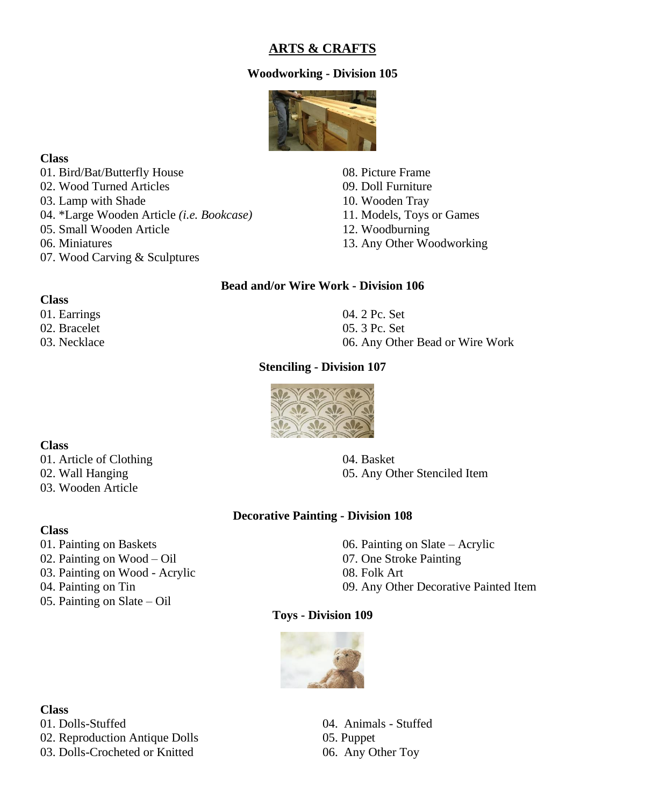### **ARTS & CRAFTS**

### **Woodworking - Division 105**



### **Class**

01. Bird/Bat/Butterfly House 02. Wood Turned Articles 03. Lamp with Shade 04. \*Large Wooden Article *(i.e. Bookcase)* 05. Small Wooden Article 06. Miniatures 07. Wood Carving & Sculptures

08. Picture Frame 09. Doll Furniture 10. Wooden Tray 11. Models, Toys or Games 12. Woodburning 13. Any Other Woodworking

### **Bead and/or Wire Work - Division 106**

#### **Class**

01. Earrings 02. Bracelet 03. Necklace 04. 2 Pc. Set 05. 3 Pc. Set 06. Any Other Bead or Wire Work

### **Stenciling - Division 107**



### **Class**

01. Article of Clothing 02. Wall Hanging 03. Wooden Article

04. Basket 05. Any Other Stenciled Item

### **Decorative Painting - Division 108**

- **Class**
- 01. Painting on Baskets 02. Painting on Wood – Oil 03. Painting on Wood - Acrylic 04. Painting on Tin 05. Painting on Slate – Oil

06. Painting on Slate – Acrylic 07. One Stroke Painting 08. Folk Art 09. Any Other Decorative Painted Item

#### **Toys - Division 109**



#### **Class**

01. Dolls-Stuffed 04. Animals - Stuffed 02. Reproduction Antique Dolls 05. Puppet 03. Dolls-Crocheted or Knitted 06. Any Other Toy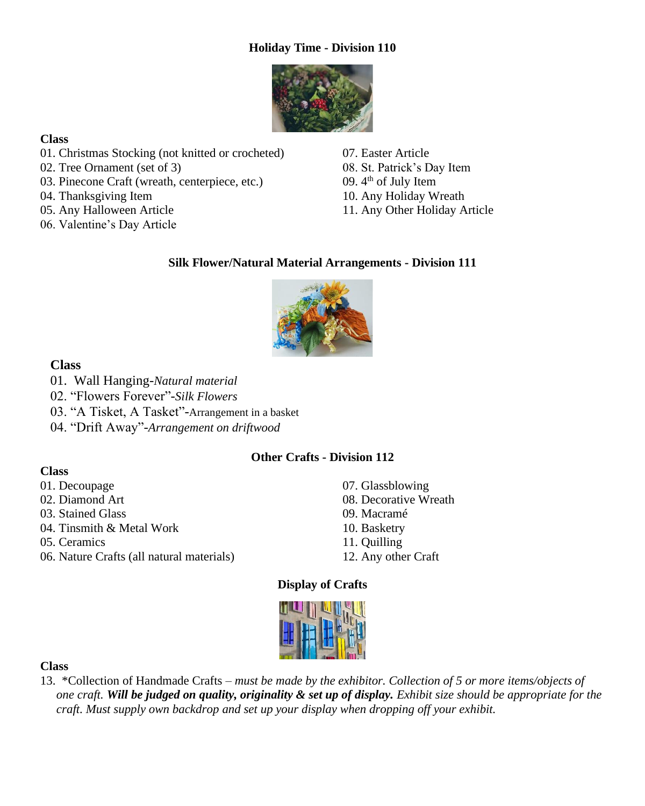### **Holiday Time - Division 110**



### **Class**

- 01. Christmas Stocking (not knitted or crocheted)
- 02. Tree Ornament (set of 3)
- 03. Pinecone Craft (wreath, centerpiece, etc.)
- 04. Thanksgiving Item
- 05. Any Halloween Article
- 06. Valentine's Day Article

07. Easter Article 08. St. Patrick's Day Item 09.  $4<sup>th</sup>$  of July Item 10. Any Holiday Wreath 11. Any Other Holiday Article

### **Silk Flower/Natural Material Arrangements - Division 111**



**Class**

- 01. Wall Hanging-*Natural material*
- 02. "Flowers Forever"-*Silk Flowers*
- 03. "A Tisket, A Tasket"-Arrangement in a basket
- 04. "Drift Away"-*Arrangement on driftwood*

### **Other Crafts - Division 112**

### **Class**

- 01. Decoupage
- 02. Diamond Art
- 03. Stained Glass
- 04. Tinsmith & Metal Work
- 05. Ceramics
- 06. Nature Crafts (all natural materials)
- 07. Glassblowing
- 08. Decorative Wreath
- 09. Macramé
- 10. Basketry
- 11. Quilling
- 12. Any other Craft

### **Display of Crafts**

|  | ٠ |
|--|---|
|  |   |

### **Class**

13. \*Collection of Handmade Crafts – *must be made by the exhibitor. Collection of 5 or more items/objects of one craft. Will be judged on quality, originality & set up of display. Exhibit size should be appropriate for the craft. Must supply own backdrop and set up your display when dropping off your exhibit.*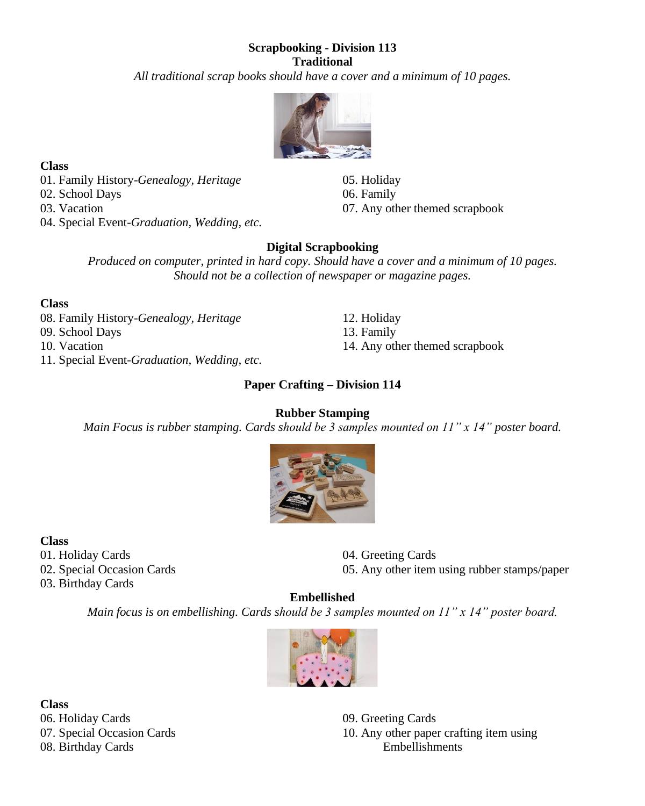### **Scrapbooking - Division 113 Traditional**

*All traditional scrap books should have a cover and a minimum of 10 pages.*



**Class**

01. Family History-*Genealogy, Heritage* 02. School Days 03. Vacation 04. Special Event-*Graduation, Wedding, etc.* 05. Holiday 06. Family 07. Any other themed scrapbook

14. Any other themed scrapbook

### **Digital Scrapbooking**

*Produced on computer, printed in hard copy. Should have a cover and a minimum of 10 pages. Should not be a collection of newspaper or magazine pages.*

> 12. Holiday 13. Family

### **Class**

08. Family History*-Genealogy, Heritage* 09. School Days 10. Vacation 11. Special Event-*Graduation, Wedding, etc.*

**Paper Crafting – Division 114**

### **Rubber Stamping**

*Main Focus is rubber stamping. Cards should be 3 samples mounted on 11" x 14" poster board.*



**Class** 01. Holiday Cards

02. Special Occasion Cards

03. Birthday Cards

04. Greeting Cards 05. Any other item using rubber stamps/paper

# **Embellished**

*Main focus is on embellishing. Cards should be 3 samples mounted on 11" x 14" poster board.*



**Class** 06. Holiday Cards 07. Special Occasion Cards 08. Birthday Cards

09. Greeting Cards 10. Any other paper crafting item using Embellishments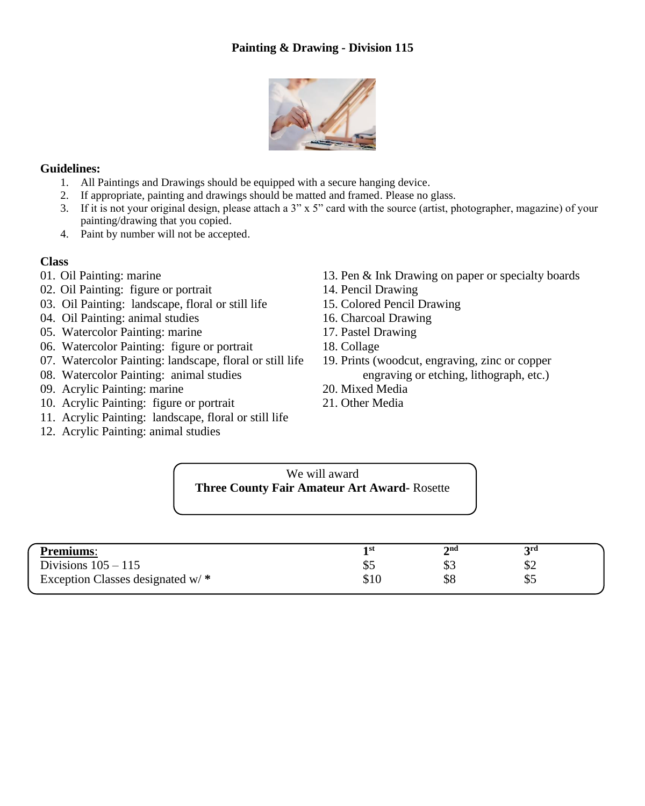

### **Guidelines:**

- 1. All Paintings and Drawings should be equipped with a secure hanging device.
- 2. If appropriate, painting and drawings should be matted and framed. Please no glass.
- 3. If it is not your original design, please attach a 3" x 5" card with the source (artist, photographer, magazine) of your painting/drawing that you copied.
- 4. Paint by number will not be accepted.

- **Class**<br>01. Oil Painting: marine
- 02. Oil Painting: figure or portrait 14. Pencil Drawing
- 03. Oil Painting: landscape, floral or still life 15. Colored Pencil Drawing
- 04. Oil Painting: animal studies 16. Charcoal Drawing
- 05. Watercolor Painting: marine 17. Pastel Drawing
- 06. Watercolor Painting: figure or portrait 18. Collage
- 07. Watercolor Painting: landscape, floral or still life 19. Prints (woodcut, engraving, zinc or copper
- 
- 09. Acrylic Painting: marine 20. Mixed Media
- 10. Acrylic Painting: figure or portrait 21. Other Media
- 11. Acrylic Painting: landscape, floral or still life
- 12. Acrylic Painting: animal studies
- 13. Pen & Ink Drawing on paper or specialty boards
- 
- 
- 
- 
- 
- 08. Watercolor Painting: animal studies engraving or etching, lithograph, etc.)
	-
	-

We will award **Three County Fair Amateur Art Award-** Rosette

| <b>Premiums:</b>                  | 1 st | 2nd              | <b>2rd</b> |  |
|-----------------------------------|------|------------------|------------|--|
| Divisions $105 - 115$             | Φ≂   | ΦJ               | Φ∠         |  |
| Exception Classes designated w/ * | \$10 | <u> ተር</u><br>აა | ക്         |  |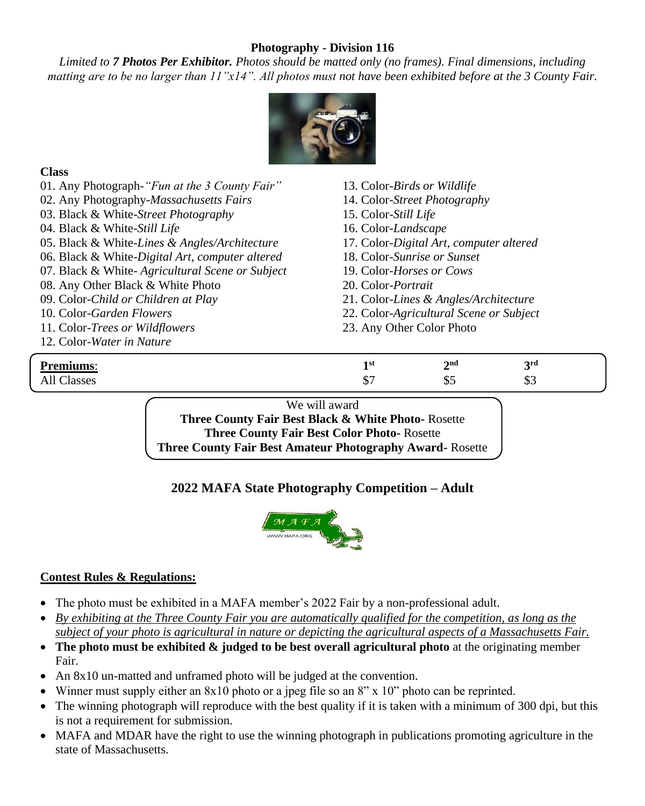### **Photography - Division 116**

*Limited to 7 Photos Per Exhibitor. Photos should be matted only (no frames). Final dimensions, including matting are to be no larger than 11"x14". All photos must not have been exhibited before at the 3 County Fair.*



### **Class**

|                                                                                          | We will award               |                                         |                 |  |  |  |
|------------------------------------------------------------------------------------------|-----------------------------|-----------------------------------------|-----------------|--|--|--|
| All Classes                                                                              | \$7<br>\$3<br>\$5           |                                         |                 |  |  |  |
| <b>Premiums:</b>                                                                         | 1 <sup>st</sup>             | 2 <sup>nd</sup>                         | 3 <sup>rd</sup> |  |  |  |
| 12. Color-Water in Nature                                                                |                             |                                         |                 |  |  |  |
| 11. Color-Trees or Wildflowers                                                           | 23. Any Other Color Photo   |                                         |                 |  |  |  |
| 10. Color-Garden Flowers                                                                 |                             | 22. Color-Agricultural Scene or Subject |                 |  |  |  |
| 09. Color-Child or Children at Play                                                      |                             | 21. Color-Lines & Angles/Architecture   |                 |  |  |  |
| 08. Any Other Black & White Photo                                                        | 20. Color- <i>Portrait</i>  |                                         |                 |  |  |  |
| 07. Black & White-Agricultural Scene or Subject<br>19. Color-Horses or Cows              |                             |                                         |                 |  |  |  |
| 06. Black & White-Digital Art, computer altered                                          |                             | 18. Color-Sunrise or Sunset             |                 |  |  |  |
| 05. Black & White-Lines & Angles/Architecture<br>17. Color-Digital Art, computer altered |                             |                                         |                 |  |  |  |
| 04. Black & White-Still Life                                                             | 16. Color-Landscape         |                                         |                 |  |  |  |
| 03. Black & White-Street Photography                                                     |                             | 15. Color-Still Life                    |                 |  |  |  |
| 02. Any Photography-Massachusetts Fairs                                                  |                             | 14. Color-Street Photography            |                 |  |  |  |
| 01. Any Photograph-"Fun at the 3 County Fair"                                            | 13. Color-Birds or Wildlife |                                         |                 |  |  |  |
|                                                                                          |                             |                                         |                 |  |  |  |

**Three County Fair Best Black & White Photo-** Rosette **Three County Fair Best Color Photo-** Rosette **Three County Fair Best Amateur Photography Award-** Rosette

### **2022 MAFA State Photography Competition – Adult**



### **Contest Rules & Regulations:**

- The photo must be exhibited in a MAFA member's 2022 Fair by a non-professional adult.
- *By exhibiting at the Three County Fair you are automatically qualified for the competition, as long as the subject of your photo is agricultural in nature or depicting the agricultural aspects of a Massachusetts Fair.*
- **The photo must be exhibited & judged to be best overall agricultural photo** at the originating member Fair.
- An 8x10 un-matted and unframed photo will be judged at the convention.
- Winner must supply either an 8x10 photo or a jpeg file so an 8" x 10" photo can be reprinted.
- The winning photograph will reproduce with the best quality if it is taken with a minimum of 300 dpi, but this is not a requirement for submission.
- MAFA and MDAR have the right to use the winning photograph in publications promoting agriculture in the state of Massachusetts.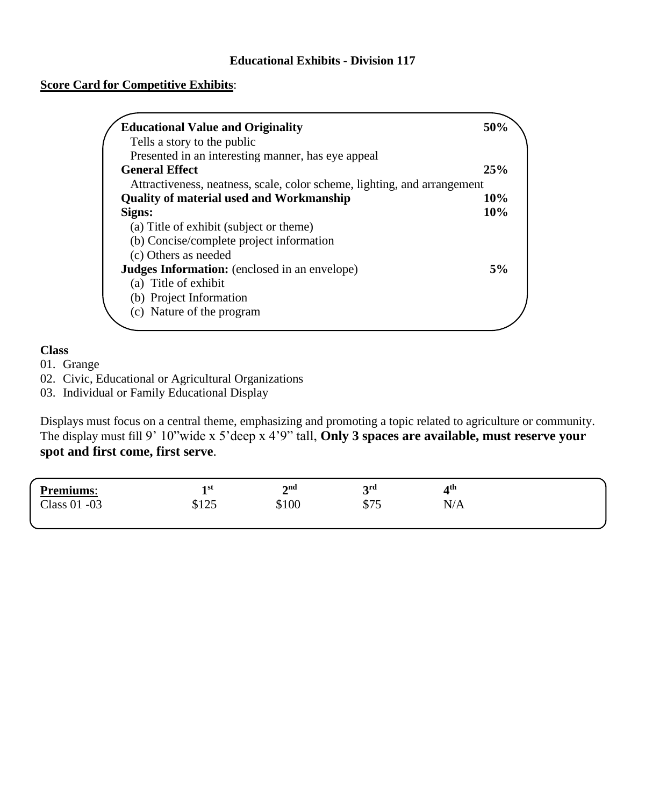### **Score Card for Competitive Exhibits**:

| <b>Educational Value and Originality</b>                                 | 50% |
|--------------------------------------------------------------------------|-----|
| Tells a story to the public                                              |     |
| Presented in an interesting manner, has eye appeal                       |     |
| <b>General Effect</b>                                                    | 25% |
| Attractiveness, neatness, scale, color scheme, lighting, and arrangement |     |
| <b>Quality of material used and Workmanship</b>                          | 10% |
| Signs:                                                                   | 10% |
| (a) Title of exhibit (subject or theme)                                  |     |
| (b) Concise/complete project information                                 |     |
| (c) Others as needed                                                     |     |
| <b>Judges Information:</b> (enclosed in an envelope)                     | 5%  |
| (a) Title of exhibit                                                     |     |
| (b) Project Information                                                  |     |
| (c) Nature of the program                                                |     |
|                                                                          |     |

### **Class**

01. Grange

02. Civic, Educational or Agricultural Organizations

03. Individual or Family Educational Display

Displays must focus on a central theme, emphasizing and promoting a topic related to agriculture or community. The display must fill 9' 10"wide x 5'deep x 4'9" tall, **Only 3 spaces are available, must reserve your spot and first come, first serve**.

| <b>Premiums:</b> | 1 st<br><u>_</u> | $\boldsymbol{\gamma}$ nd<br>∸ | 2rd<br>ັ    | Ath                    |  |
|------------------|------------------|-------------------------------|-------------|------------------------|--|
| Class 01 -03     | 0 1 O 5<br>ل∠1 ⊄ | \$100                         | ሰማሮ<br>ر رو | $T$ / $\lambda$<br>N/A |  |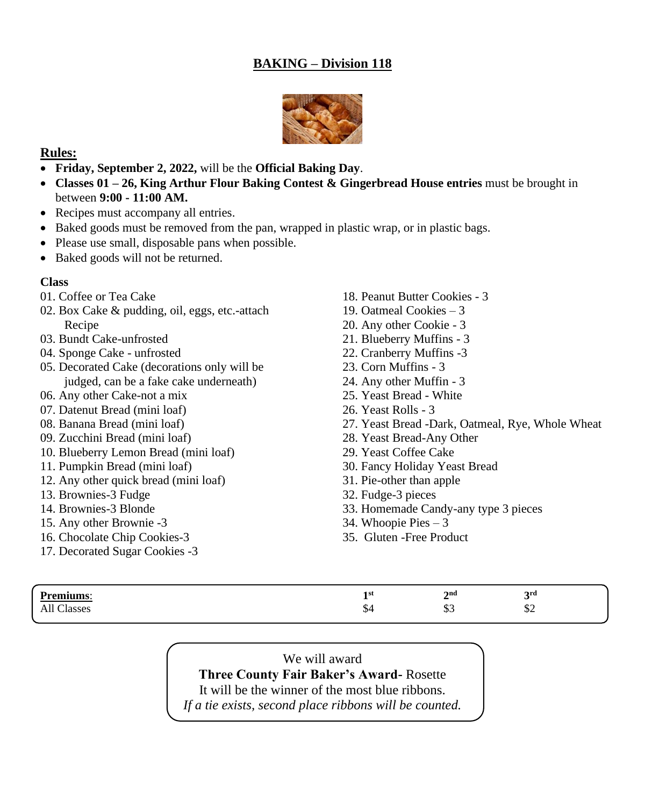# **BAKING – Division 118**



### **Rules:**

- **Friday, September 2, 2022,** will be the **Official Baking Day**.
- **Classes 01 – 26, King Arthur Flour Baking Contest & Gingerbread House entries** must be brought in between **9:00 - 11:00 AM.**
- Recipes must accompany all entries.
- Baked goods must be removed from the pan, wrapped in plastic wrap, or in plastic bags.
- Please use small, disposable pans when possible.
- Baked goods will not be returned.

### **Class**

- 01. Coffee or Tea Cake
- 02. Box Cake & pudding, oil, eggs, etc.-attach Recipe
- 03. Bundt Cake-unfrosted
- 04. Sponge Cake unfrosted
- 05. Decorated Cake (decorations only will be judged, can be a fake cake underneath)
- 06. Any other Cake-not a mix
- 07. Datenut Bread (mini loaf)
- 08. Banana Bread (mini loaf)
- 09. Zucchini Bread (mini loaf)
- 10. Blueberry Lemon Bread (mini loaf)
- 11. Pumpkin Bread (mini loaf)
- 12. Any other quick bread (mini loaf)
- 13. Brownies-3 Fudge
- 14. Brownies-3 Blonde
- 15. Any other Brownie -3
- 16. Chocolate Chip Cookies-3
- 17. Decorated Sugar Cookies -3
- 18. Peanut Butter Cookies 3
- 19. Oatmeal Cookies 3
- 20. Any other Cookie 3
- 21. Blueberry Muffins 3
- 22. Cranberry Muffins -3
- 23. Corn Muffins 3
- 24. Any other Muffin 3
- 25. Yeast Bread White
- 26. Yeast Rolls 3
- 27. Yeast Bread -Dark, Oatmeal, Rye, Whole Wheat
- 28. Yeast Bread-Any Other
- 29. Yeast Coffee Cake
- 30. Fancy Holiday Yeast Bread
- 31. Pie-other than apple
- 32. Fudge-3 pieces
- 33. Homemade Candy-any type 3 pieces
- 34. Whoopie Pies 3
- 35. Gluten -Free Product

| $1.11$ . The set of $\sim$                              | 1 st     | $2^{\text{nd}}$   | 2rd         |
|---------------------------------------------------------|----------|-------------------|-------------|
| - UIII<br>$\sim$<br><b>00000</b><br>$\mathcal{L}$ asses | -<br>়⊅শ | -<br>$\sim$<br>پټ | $\sim$<br>Ψ |

#### We will award **Three County Fair Baker's Award-** Rosette

It will be the winner of the most blue ribbons.

*If a tie exists, second place ribbons will be counted.*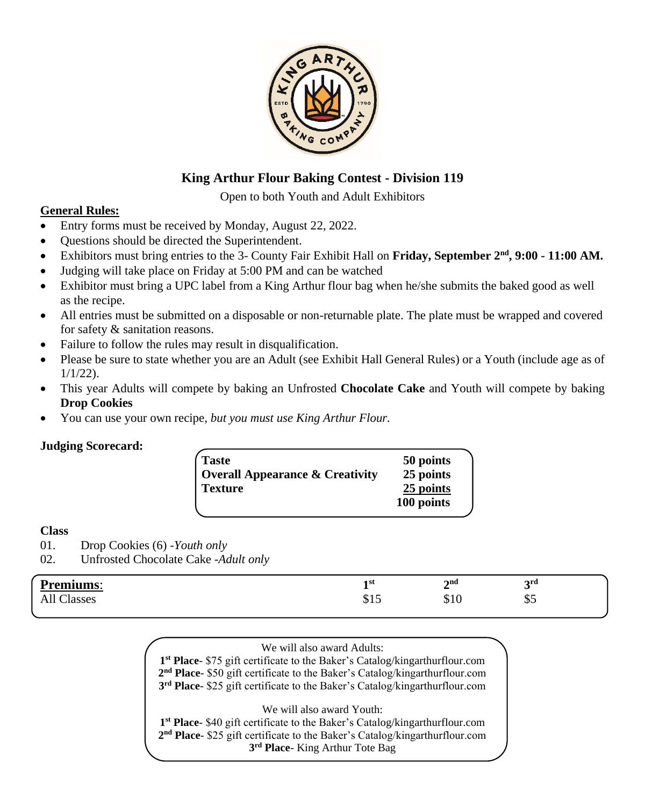

# **King Arthur Flour Baking Contest - Division 119**

Open to both Youth and Adult Exhibitors

### **General Rules:**

- Entry forms must be received by Monday, August 22, 2022.
- Questions should be directed the Superintendent.
- Exhibitors must bring entries to the 3- County Fair Exhibit Hall on Friday, September  $2^{nd}$ , 9:00 11:00 AM.
- Judging will take place on Friday at 5:00 PM and can be watched
- Exhibitor must bring a UPC label from a King Arthur flour bag when he/she submits the baked good as well as the recipe.
- All entries must be submitted on a disposable or non-returnable plate. The plate must be wrapped and covered for safety & sanitation reasons.
- Failure to follow the rules may result in disqualification.
- Please be sure to state whether you are an Adult (see Exhibit Hall General Rules) or a Youth (include age as of 1/1/22).
- This year Adults will compete by baking an Unfrosted **Chocolate Cake** and Youth will compete by baking **Drop Cookies**
- You can use your own recipe, *but you must use King Arthur Flour.*

### **Judging Scorecard:**

| <b>Taste</b><br><b>Overall Appearance &amp; Creativity</b> | 50 points<br>25 points |
|------------------------------------------------------------|------------------------|
| <b>Texture</b>                                             | 25 points              |
|                                                            | 100 points             |

### **Class**

01. Drop Cookies (6) -*Youth only*

02. Unfrosted Chocolate Cake -*Adult only*

| Premiums:           | 1 st       |                          |                      |
|---------------------|------------|--------------------------|----------------------|
|                     | -          | $\boldsymbol{\gamma}$ nd | 2rd                  |
|                     |            | -                        | ັ                    |
| 19880<br>აასა<br>лп | .<br>ب 1 ب | \$10                     | $\triangle$ r<br>ن پ |

#### We will also award Adults:

**1 st Place**- \$75 gift certificate to the Baker's Catalog/kingarthurflour.com **2 nd Place**- \$50 gift certificate to the Baker's Catalog/kingarthurflour.com **3 rd Place**- \$25 gift certificate to the Baker's Catalog/kingarthurflour.com

We will also award Youth:

**1 st Place**- \$40 gift certificate to the Baker's Catalog/kingarthurflour.com **2 nd Place**- \$25 gift certificate to the Baker's Catalog/kingarthurflour.com **3 rd Place**- King Arthur Tote Bag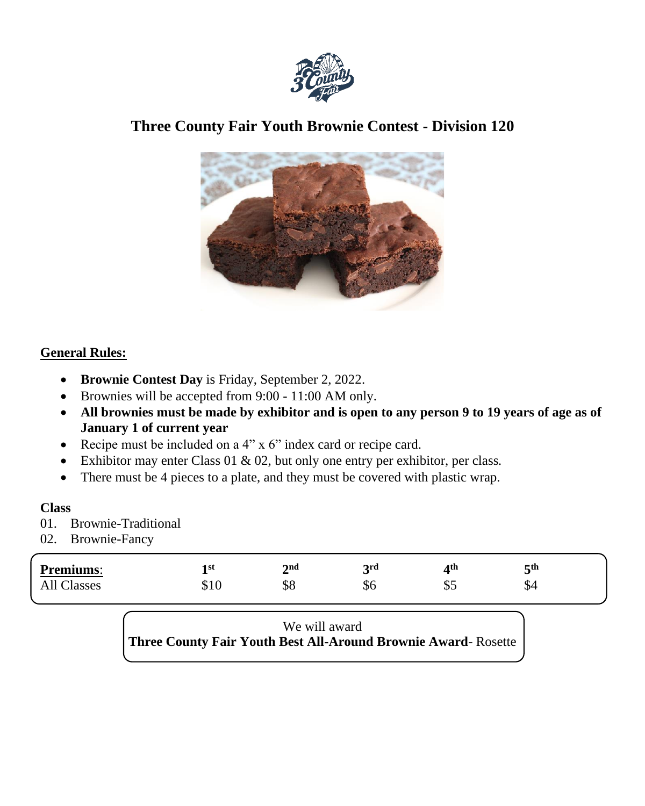

# **Three County Fair Youth Brownie Contest - Division 120**



# **General Rules:**

- **Brownie Contest Day** is Friday, September 2, 2022.
- Brownies will be accepted from 9:00 11:00 AM only.
- **All brownies must be made by exhibitor and is open to any person 9 to 19 years of age as of January 1 of current year**
- Recipe must be included on a 4" x 6" index card or recipe card.
- Exhibitor may enter Class 01 & 02, but only one entry per exhibitor, per class*.*
- There must be 4 pieces to a plate, and they must be covered with plastic wrap.

### **Class**

- 01. Brownie-Traditional
- 02. Brownie-Fancy

| <b>Premiums:</b>       | 1 st | $2^{\text{nd}}$ | 2rd | ⊿th | $\mathsf{C}^{\text{th}}$<br>ັ |
|------------------------|------|-----------------|-----|-----|-------------------------------|
| $\sim$<br>11<br>lasses | D.   | ΦO              | ФO  | ـە  | ₼<br>ΦΉ                       |

We will award **Three County Fair Youth Best All-Around Brownie Award**- Rosette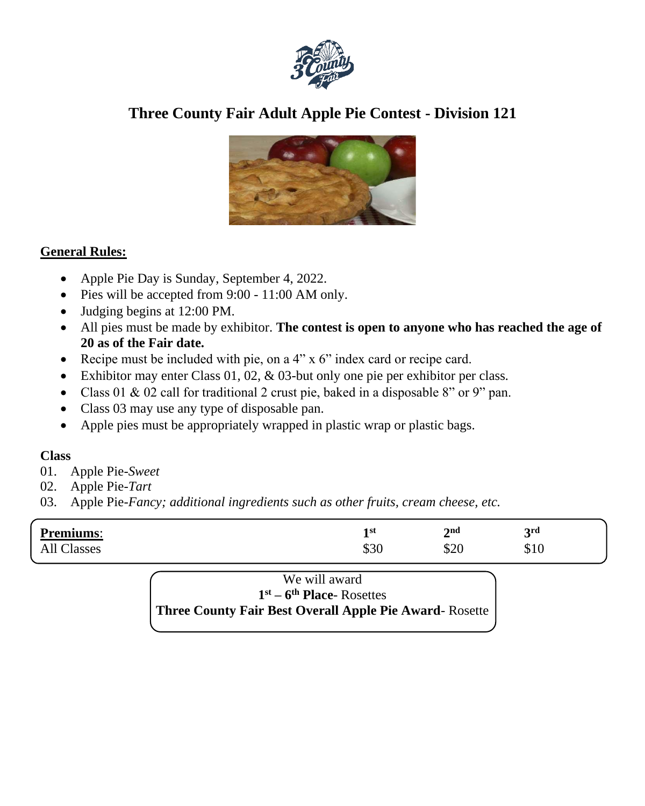

# **Three County Fair Adult Apple Pie Contest - Division 121**



# **General Rules:**

- Apple Pie Day is Sunday, September 4, 2022.
- Pies will be accepted from 9:00 11:00 AM only.
- Judging begins at 12:00 PM.
- All pies must be made by exhibitor. **The contest is open to anyone who has reached the age of 20 as of the Fair date.**
- Recipe must be included with pie, on a 4" x 6" index card or recipe card.
- Exhibitor may enter Class 01, 02, & 03-but only one pie per exhibitor per class*.*
- Class 01 & 02 call for traditional 2 crust pie, baked in a disposable 8" or 9" pan.
- Class 03 may use any type of disposable pan.
- Apple pies must be appropriately wrapped in plastic wrap or plastic bags.

# **Class**

- 01. Apple Pie-*Sweet*
- 02. Apple Pie-*Tart*
- 03. Apple Pie-*Fancy; additional ingredients such as other fruits, cream cheese, etc.*

| <b>Premiums:</b>        | ı st       | 2 <sub>na</sub> | 2rd         |
|-------------------------|------------|-----------------|-------------|
|                         |            | _               | ັ           |
| $\sim$<br>All<br>lasses | ሰኃሮ<br>DCG | \$20            | ጡ 1<br>0.10 |

# We will award **1 st – 6 th Place**- Rosettes **Three County Fair Best Overall Apple Pie Award**- Rosette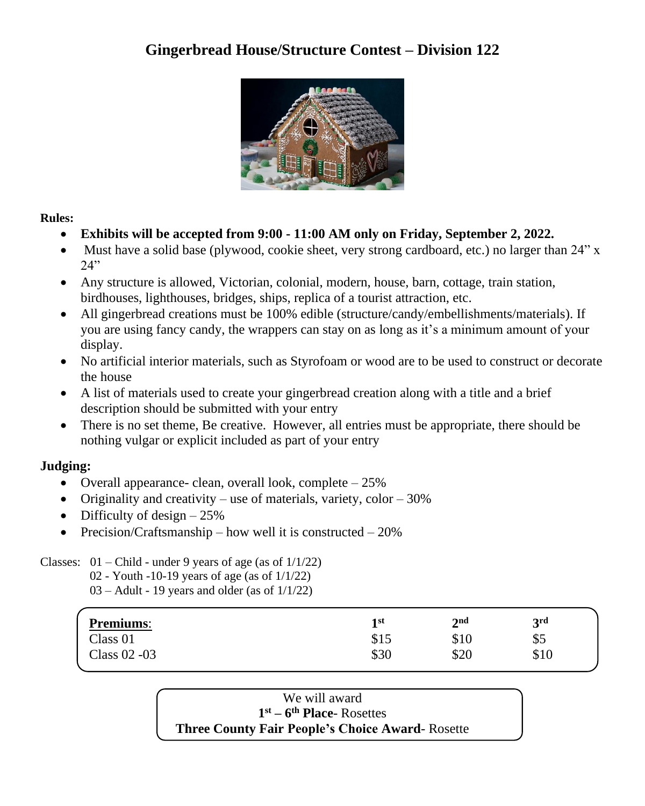# **Gingerbread House/Structure Contest – Division 122**



**Rules:** 

- **Exhibits will be accepted from 9:00 - 11:00 AM only on Friday, September 2, 2022.**
- Must have a solid base (plywood, cookie sheet, very strong cardboard, etc.) no larger than 24" x  $24"$
- Any structure is allowed, Victorian, colonial, modern, house, barn, cottage, train station, birdhouses, lighthouses, bridges, ships, replica of a tourist attraction, etc.
- All gingerbread creations must be 100% edible (structure/candy/embellishments/materials). If you are using fancy candy, the wrappers can stay on as long as it's a minimum amount of your display.
- No artificial interior materials, such as Styrofoam or wood are to be used to construct or decorate the house
- A list of materials used to create your gingerbread creation along with a title and a brief description should be submitted with your entry
- There is no set theme, Be creative. However, all entries must be appropriate, there should be nothing vulgar or explicit included as part of your entry

# **Judging:**

- Overall appearance- clean, overall look, complete  $-25\%$
- Originality and creativity use of materials, variety, color  $-30\%$
- Difficulty of design  $-25%$
- Precision/Craftsmanship how well it is constructed  $20\%$

Classes:  $01$  – Child - under 9 years of age (as of  $1/1/22$ )

- 02 Youth -10-19 years of age (as of 1/1/22)
- 03 Adult 19 years and older (as of 1/1/22)

| <b>Premiums:</b> | 1 st | $\boldsymbol{\gamma}$ nd | <b>2rd</b>       |  |
|------------------|------|--------------------------|------------------|--|
| Class 01         | \$15 | \$10                     | <u>ጦ ድ</u><br>ФJ |  |
| Class 02 - 03    | \$30 | \$20                     | \$10             |  |

We will award **1 st – 6 th Place**- Rosettes **Three County Fair People's Choice Award**- Rosette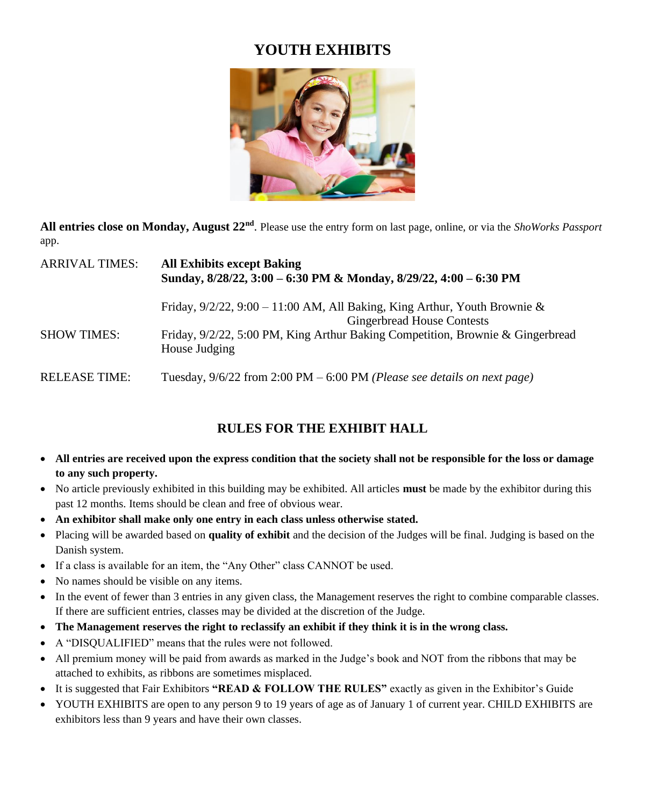# **YOUTH EXHIBITS**



**All entries close on Monday, August 22nd** . Please use the entry form on last page, online, or via the *ShoWorks Passport* app.

| ARRIVAL TIMES: | <b>All Exhibits except Baking</b><br>Sunday, 8/28/22, 3:00 - 6:30 PM & Monday, 8/29/22, 4:00 - 6:30 PM                                                                                                                 |
|----------------|------------------------------------------------------------------------------------------------------------------------------------------------------------------------------------------------------------------------|
| SHOW TIMES:    | Friday, $9/2/22$ , $9:00 - 11:00$ AM, All Baking, King Arthur, Youth Brownie &<br><b>Gingerbread House Contests</b><br>Friday, 9/2/22, 5:00 PM, King Arthur Baking Competition, Brownie & Gingerbread<br>House Judging |
| RELEASE TIME:  | Tuesday, $9/6/22$ from 2:00 PM $-6:00$ PM ( <i>Please see details on next page</i> )                                                                                                                                   |

# **RULES FOR THE EXHIBIT HALL**

- **All entries are received upon the express condition that the society shall not be responsible for the loss or damage to any such property.**
- No article previously exhibited in this building may be exhibited. All articles **must** be made by the exhibitor during this past 12 months. Items should be clean and free of obvious wear.
- **An exhibitor shall make only one entry in each class unless otherwise stated.**
- Placing will be awarded based on **quality of exhibit** and the decision of the Judges will be final. Judging is based on the Danish system.
- If a class is available for an item, the "Any Other" class CANNOT be used.
- No names should be visible on any items.
- In the event of fewer than 3 entries in any given class, the Management reserves the right to combine comparable classes. If there are sufficient entries, classes may be divided at the discretion of the Judge.
- **The Management reserves the right to reclassify an exhibit if they think it is in the wrong class.**
- A "DISQUALIFIED" means that the rules were not followed.
- All premium money will be paid from awards as marked in the Judge's book and NOT from the ribbons that may be attached to exhibits, as ribbons are sometimes misplaced.
- It is suggested that Fair Exhibitors **"READ & FOLLOW THE RULES"** exactly as given in the Exhibitor's Guide
- YOUTH EXHIBITS are open to any person 9 to 19 years of age as of January 1 of current year. CHILD EXHIBITS are exhibitors less than 9 years and have their own classes.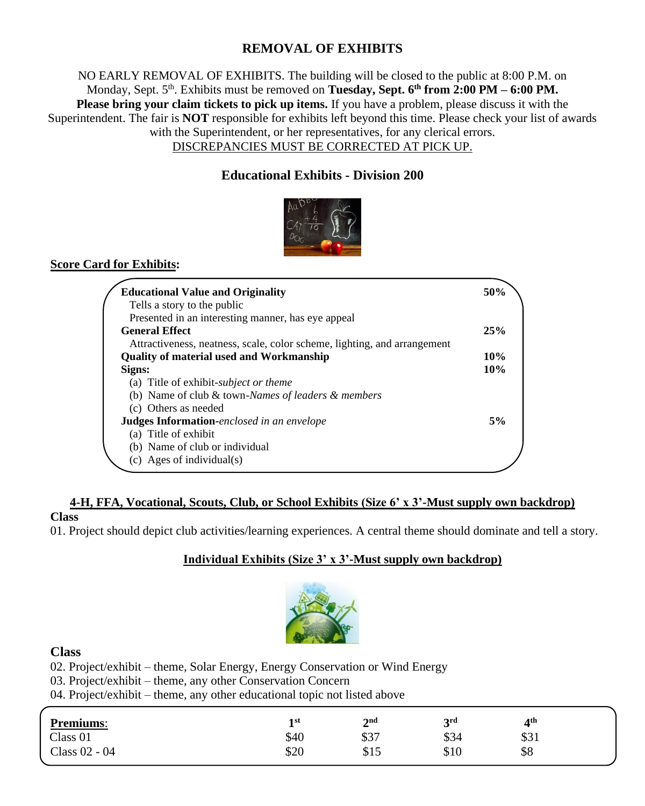# **REMOVAL OF EXHIBITS**

NO EARLY REMOVAL OF EXHIBITS. The building will be closed to the public at 8:00 P.M. on Monday, Sept. 5<sup>th</sup>. Exhibits must be removed on **Tuesday, Sept. 6<sup>th</sup> from 2:00 PM – 6:00 PM. Please bring your claim tickets to pick up items.** If you have a problem, please discuss it with the Superintendent. The fair is **NOT** responsible for exhibits left beyond this time. Please check your list of awards with the Superintendent, or her representatives, for any clerical errors. DISCREPANCIES MUST BE CORRECTED AT PICK UP.

# **Educational Exhibits - Division 200**



# **Score Card for Exhibits:**

| <b>Educational Value and Originality</b>                                 | 50% |
|--------------------------------------------------------------------------|-----|
| Tells a story to the public                                              |     |
| Presented in an interesting manner, has eye appeal                       |     |
| <b>General Effect</b>                                                    | 25% |
| Attractiveness, neatness, scale, color scheme, lighting, and arrangement |     |
| <b>Quality of material used and Workmanship</b>                          | 10% |
| Signs:                                                                   | 10% |
| (a) Title of exhibit- <i>subject or theme</i>                            |     |
| (b) Name of club $&$ town-Names of leaders $&$ members                   |     |
| (c) Others as needed                                                     |     |
| <b>Judges Information-enclosed in an envelope</b>                        | 5%  |
| (a) Title of exhibit                                                     |     |
| (b) Name of club or individual                                           |     |
| (c) Ages of individual(s)                                                |     |

### **4-H, FFA, Vocational, Scouts, Club, or School Exhibits (Size 6' x 3'-Must supply own backdrop) Class**

01. Project should depict club activities/learning experiences. A central theme should dominate and tell a story.

### **Individual Exhibits (Size 3' x 3'-Must supply own backdrop)**



### **Class**

02. Project/exhibit – theme, Solar Energy, Energy Conservation or Wind Energy

03. Project/exhibit – theme, any other Conservation Concern

04. Project/exhibit – theme, any other educational topic not listed above

| 1st<br><b>.</b> | 2 <sub>nd</sub><br>∼  | 2rd<br>ັ | ⊿th          |  |
|-----------------|-----------------------|----------|--------------|--|
| \$40            | \$37                  | \$34     | ሱ ኅ 1<br>331 |  |
| \$20            | Q15<br>$\mathcal{D}1$ | \$10     | \$8          |  |
|                 |                       |          |              |  |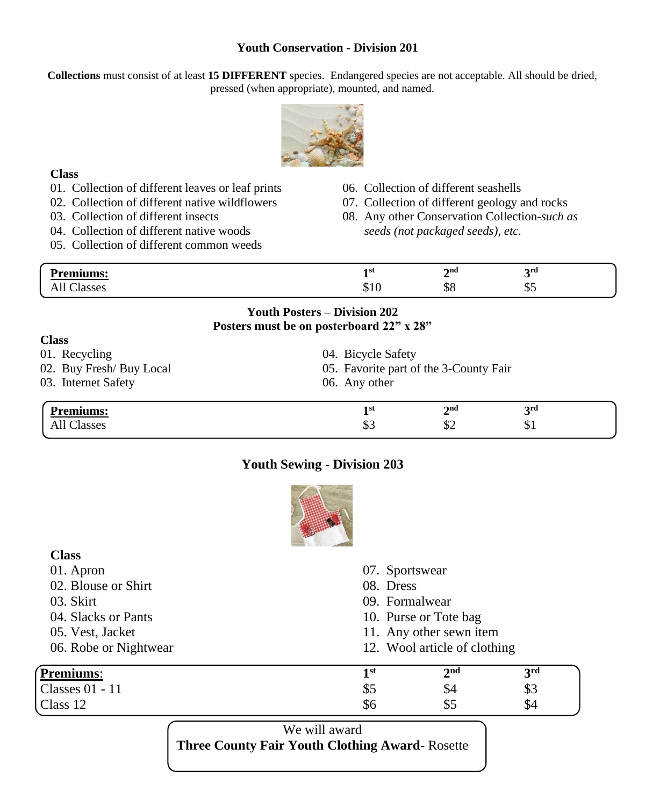### **Youth Conservation - Division 201**

**Collections** must consist of at least **15 DIFFERENT** species. Endangered species are not acceptable. All should be dried, pressed (when appropriate), mounted, and named.



#### **Class**

 $\Omega$ 

- 01. Collection of different leaves or leaf prints
- 02. Collection of different native wildflowers
- 03. Collection of different insects
- 04. Collection of different native woods
- 05. Collection of different common weeds
- 06. Collection of different seashells
- 07. Collection of different geology and rocks
- 08. Any other Conservation Collection*-such as seeds (not packaged seeds), etc.*

| .   | 1 S t | $\boldsymbol{\gamma}$ nd | 2rd |
|-----|-------|--------------------------|-----|
| . . |       | $\overline{\phantom{0}}$ |     |
|     | ψΙΟ   | ΦO                       | ن ب |

### **Youth Posters – Division 202 Posters must be on posterboard 22" x 28"**

| <b>Premiums:</b>         | <b>3rd</b><br>2 <sub>nd</sub><br>1 st  |  |
|--------------------------|----------------------------------------|--|
| 03. Internet Safety      | 06. Any other                          |  |
| 02. Buy Fresh/ Buy Local | 05. Favorite part of the 3-County Fair |  |
| 01. Recycling            | 04. Bicycle Safety                     |  |
| Ulass -                  |                                        |  |

### **Youth Sewing - Division 203**

All Classes \$3 \$2 \$1



| <b>Class</b>          |                              |                 |                 |  |
|-----------------------|------------------------------|-----------------|-----------------|--|
| 01. Apron             | 07. Sportswear               |                 |                 |  |
| 02. Blouse or Shirt   | 08. Dress                    |                 |                 |  |
| 03. Skirt             | 09. Formalwear               |                 |                 |  |
| 04. Slacks or Pants   | 10. Purse or Tote bag        |                 |                 |  |
| 05. Vest, Jacket      | 11. Any other sewn item      |                 |                 |  |
| 06. Robe or Nightwear | 12. Wool article of clothing |                 |                 |  |
| <b>Premiums:</b>      | 1 <sup>st</sup>              | 2 <sup>nd</sup> | 3 <sup>rd</sup> |  |
| Classes 01 - 11       | \$5                          | \$4             | \$3             |  |
| Class 12              | \$6                          | \$5             | \$4             |  |

We will award **Three County Fair Youth Clothing Award**- Rosette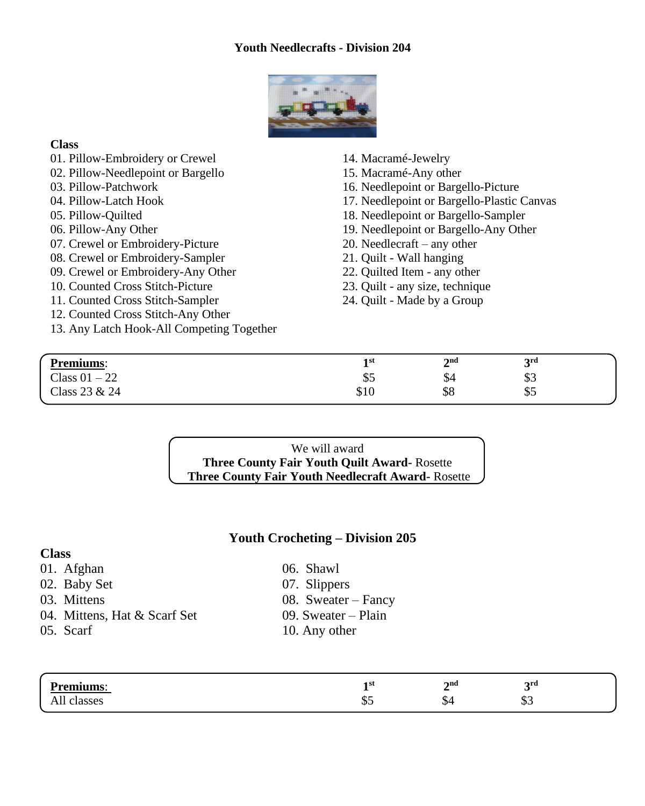### **Youth Needlecrafts - Division 204**



### **Class**

- 01. Pillow-Embroidery or Crewel
- 02. Pillow-Needlepoint or Bargello
- 03. Pillow-Patchwork
- 04. Pillow-Latch Hook
- 05. Pillow-Quilted
- 06. Pillow-Any Other
- 07. Crewel or Embroidery-Picture
- 08. Crewel or Embroidery-Sampler
- 09. Crewel or Embroidery-Any Other
- 10. Counted Cross Stitch-Picture
- 11. Counted Cross Stitch-Sampler
- 12. Counted Cross Stitch-Any Other
- 13. Any Latch Hook-All Competing Together
- 14. Macramé-Jewelry
- 15. Macramé-Any other
- 16. Needlepoint or Bargello-Picture
- 17. Needlepoint or Bargello-Plastic Canvas
- 18. Needlepoint or Bargello-Sampler
- 19. Needlepoint or Bargello-Any Other
- 20. Needlecraft any other
- 21. Quilt Wall hanging
- 22. Quilted Item any other
- 23. Quilt any size, technique
- 24. Quilt Made by a Group

| Premiums:                           | 1 st                 | $2^{\text{nd}}$<br>$\overline{\phantom{a}}$ | 2rd     |  |
|-------------------------------------|----------------------|---------------------------------------------|---------|--|
| $\sim$ 1<br>Class 01<br>ററ<br>$-22$ | $\triangle$ r<br>ن پ | υ⊣                                          | ጡ<br>ΦJ |  |
| $\sim$ 1<br>Class $23 & 24$         | ሰ1 ሰ<br>91 U         | \$8                                         | എ       |  |

We will award **Three County Fair Youth Quilt Award-** Rosette **Three County Fair Youth Needlecraft Award-** Rosette

### **Youth Crocheting – Division 205**

### **Class**

- 01. Afghan 06. Shawl
- 02. Baby Set 07. Slippers
- 
- 04. Mittens, Hat  $&$  Scarf Set 09. Sweater Plain
- 
- 
- 
- 03. Mittens 08. Sweater Fancy
	-
- 05. Scarf 10. Any other

| na cu<br>- | 1 st<br>- | $2^{\text{nd}}$<br>$\overline{\phantom{0}}$ | 2ra          |  |
|------------|-----------|---------------------------------------------|--------------|--|
| .          | ΨΨ        | ሖ<br>ാ∸                                     | $\sim$<br>ΨJ |  |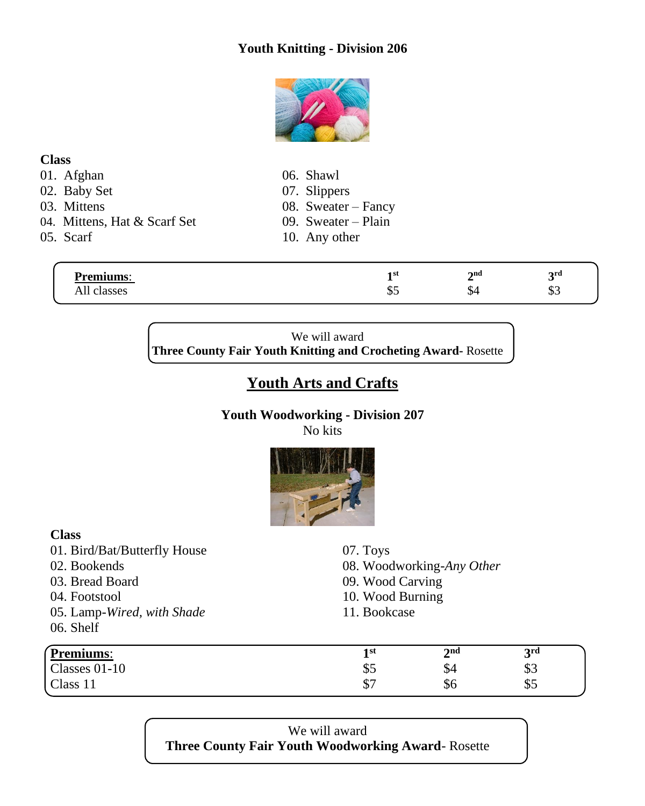# **Youth Knitting - Division 206**



### **Class**

- 
- 02. Baby Set
- 
- 04. Mittens, Hat  $&$  Scarf Set 09. Sweater Plain
- 

01. Afghan 06. Shawl 02. Baby Set 07. Slippers

- 
- 03. Mittens 08. Sweater Fancy
	-
- 05. Scarf 10. Any other

| <b>Premiums:</b> | 1 st<br>- | 2 <sub>nd</sub> | 2rd<br>ັ  |
|------------------|-----------|-----------------|-----------|
| All<br>classes   | ن پ       | Э4              | ጡ ⁄<br>ΦJ |

We will award **Three County Fair Youth Knitting and Crocheting Award-** Rosette

# **Youth Arts and Crafts**

# **Youth Woodworking - Division 207**

No kits



| <b>Class</b>                 |                           |                 |     |  |  |
|------------------------------|---------------------------|-----------------|-----|--|--|
| 01. Bird/Bat/Butterfly House | 07. Toys                  |                 |     |  |  |
| 02. Bookends                 | 08. Woodworking-Any Other |                 |     |  |  |
| 03. Bread Board              | 09. Wood Carving          |                 |     |  |  |
| 04. Footstool                | 10. Wood Burning          |                 |     |  |  |
| 05. Lamp-Wired, with Shade   | 11. Bookcase              |                 |     |  |  |
| 06. Shelf                    |                           |                 |     |  |  |
| Premiums:                    | 1 <sup>st</sup>           | 2 <sub>nd</sub> | 3rd |  |  |
| Classes 01-10                | \$5                       | \$4             | \$3 |  |  |
| Class 11                     | \$7                       | \$6             | \$5 |  |  |

We will award **Three County Fair Youth Woodworking Award**- Rosette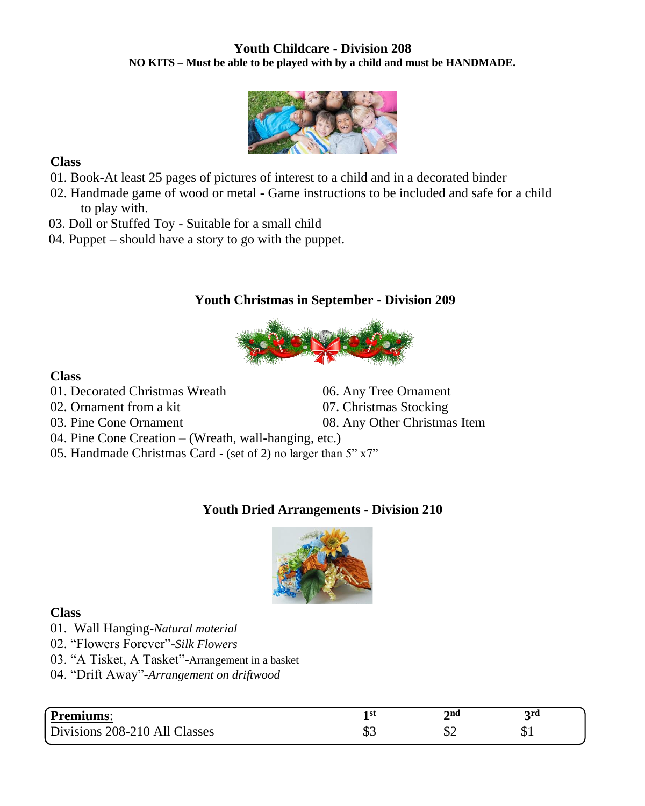### **Youth Childcare - Division 208 NO KITS – Must be able to be played with by a child and must be HANDMADE***.*



### **Class**

- 01. Book-At least 25 pages of pictures of interest to a child and in a decorated binder
- 02. Handmade game of wood or metal Game instructions to be included and safe for a child to play with.
- 03. Doll or Stuffed Toy Suitable for a small child
- 04. Puppet should have a story to go with the puppet.

# **Youth Christmas in September - Division 209**



### **Class**

- 01. Decorated Christmas Wreath 06. Any Tree Ornament
- 02. Ornament from a kit 07. Christmas Stocking
- 03. Pine Cone Ornament 08. Any Other Christmas Item

- 04. Pine Cone Creation (Wreath, wall-hanging, etc.)
- 05. Handmade Christmas Card (set of 2) no larger than 5" x7"

# **Youth Dried Arrangements - Division 210**



### **Class**

- 01. Wall Hanging-*Natural material*
- 02. "Flowers Forever"-*Silk Flowers*
- 03. "A Tisket, A Tasket"-Arrangement in a basket
- 04. "Drift Away"-*Arrangement on driftwood*

| Premiums:                          | 4 <sub>g</sub><br>- 21 | 2na | 2rd |  |
|------------------------------------|------------------------|-----|-----|--|
| Divisions 208-210 All C<br>Classes | ጡ.<br>ت ه              |     | υ⊥  |  |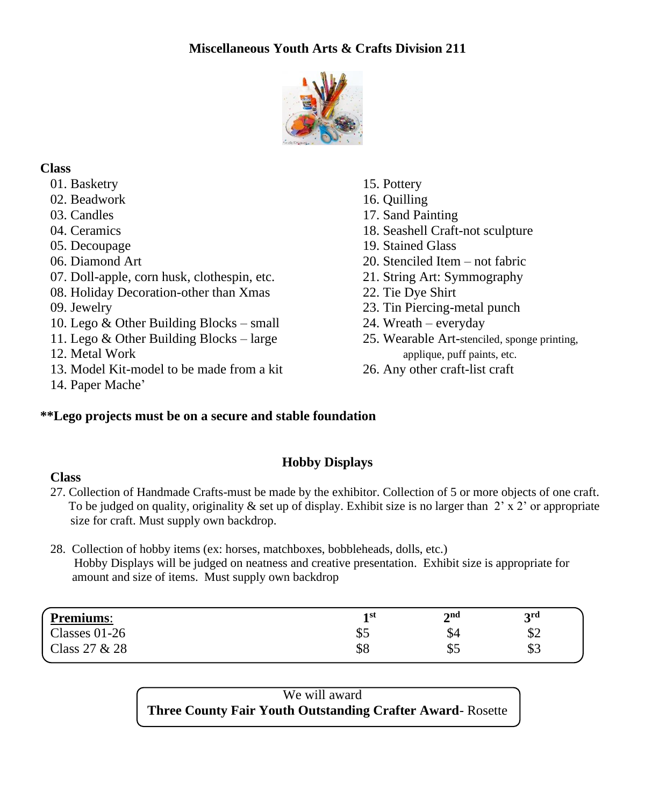# **Miscellaneous Youth Arts & Crafts Division 211**



### **Class**

- 01. Basketry 15. Pottery
- 02. Beadwork 16. Quilling
- 
- 
- 
- 
- 07. Doll-apple, corn husk, clothespin, etc. 21. String Art: Symmography
- 08. Holiday Decoration-other than Xmas 22. Tie Dye Shirt
- 
- 10. Lego & Other Building Blocks small 24. Wreath everyday
- 11. Lego & Other Building Blocks large  $25$ . Wearable Art-stenciled, sponge printing,
- 
- 13. Model Kit-model to be made from a kit 26. Any other craft-list craft
- 14. Paper Mache'

# **\*\*Lego projects must be on a secure and stable foundation**

- 
- 
- 03. Candles 17. Sand Painting
- 04. Ceramics 18. Seashell Craft-not sculpture
- 05. Decoupage 19. Stained Glass
- 06. Diamond Art 20. Stenciled Item not fabric
	-
	-
- 09. Jewelry 23. Tin Piercing-metal punch
	-
- 12. Metal Work applique, puff paints, etc.
	-

# **Hobby Displays**

### **Class**

27. Collection of Handmade Crafts-must be made by the exhibitor. Collection of 5 or more objects of one craft. To be judged on quality, originality  $\&$  set up of display. Exhibit size is no larger than 2' x 2' or appropriate size for craft. Must supply own backdrop.

### 28. Collection of hobby items (ex: horses, matchboxes, bobbleheads, dolls, etc.) Hobby Displays will be judged on neatness and creative presentation. Exhibit size is appropriate for amount and size of items. Must supply own backdrop

| <b>Premiums:</b> | 1 st<br><u>_</u> | 2nd       | <b>2rd</b><br>ັ |
|------------------|------------------|-----------|-----------------|
| Classes $01-26$  | لΦ               | JЧ        | Φ∠              |
| Class 27 & 28    | \$8              | ድ ∠<br>JJ | \$3             |
|                  |                  |           |                 |

We will award **Three County Fair Youth Outstanding Crafter Award**- Rosette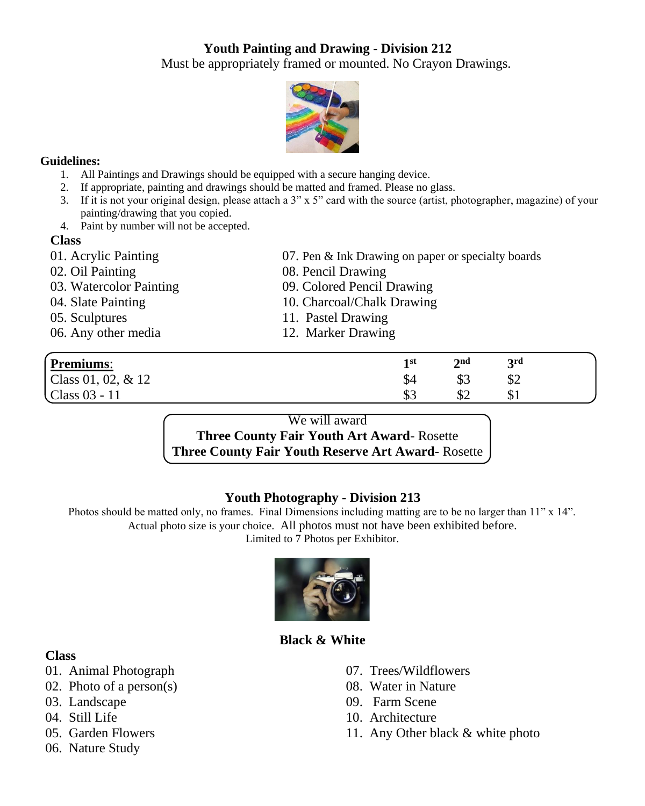# **Youth Painting and Drawing - Division 212**

Must be appropriately framed or mounted. No Crayon Drawings.



### **Guidelines:**

- 1. All Paintings and Drawings should be equipped with a secure hanging device.
- 2. If appropriate, painting and drawings should be matted and framed. Please no glass.
- 3. If it is not your original design, please attach a  $3$ " x  $5$ " card with the source (artist, photographer, magazine) of your painting/drawing that you copied.
- 4. Paint by number will not be accepted.

### **Class**

- 
- 
- 
- 
- 
- 06. Any other media 12. Marker Drawing
- 01. Acrylic Painting 07. Pen & Ink Drawing on paper or specialty boards
- 02. Oil Painting 08. Pencil Drawing
- 03. Watercolor Painting 09. Colored Pencil Drawing
- 04. Slate Painting 10. Charcoal/Chalk Drawing
- 05. Sculptures 11. Pastel Drawing
	-

| <b>Premiums:</b>     | 1 st | $\boldsymbol{\gamma}$ nd | <b>2rd</b> |  |
|----------------------|------|--------------------------|------------|--|
| Class 01, 02, $& 12$ | JУ-  | لΩب                      | ΦŹ         |  |
| Class 03 - 11        | കാ   | Φ∠                       | ΦI         |  |

### We will award

**Three County Fair Youth Art Award**- Rosette **Three County Fair Youth Reserve Art Award**- Rosette

### **Youth Photography - Division 213**

Photos should be matted only, no frames. Final Dimensions including matting are to be no larger than 11" x 14". Actual photo size is your choice. All photos must not have been exhibited before. Limited to 7 Photos per Exhibitor.



# **Black & White**

### **Class**

- 01. Animal Photograph
- 02. Photo of a person(s)
- 03. Landscape
- 04. Still Life
- 05. Garden Flowers
- 06. Nature Study
- 07. Trees/Wildflowers
- 08. Water in Nature
- 09. Farm Scene
- 10. Architecture
- 11. Any Other black & white photo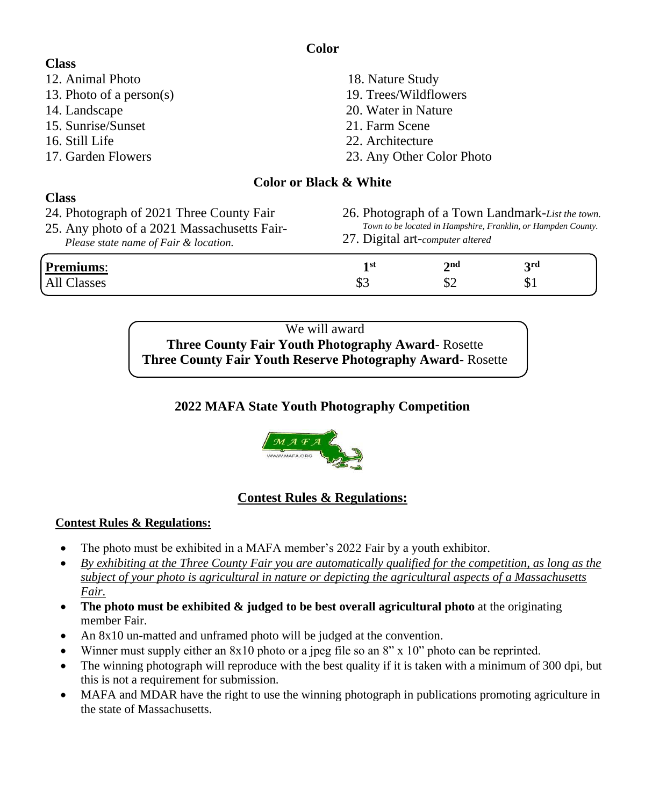| <b>Class</b>                                |                                   |                                                       |     |  |
|---------------------------------------------|-----------------------------------|-------------------------------------------------------|-----|--|
| 12. Animal Photo                            | 18. Nature Study                  |                                                       |     |  |
| 13. Photo of a person(s)                    | 19. Trees/Wildflowers             |                                                       |     |  |
| 14. Landscape                               | 20. Water in Nature               |                                                       |     |  |
| 15. Sunrise/Sunset                          | 21. Farm Scene                    |                                                       |     |  |
| 16. Still Life                              | 22. Architecture                  |                                                       |     |  |
| 17. Garden Flowers                          |                                   | 23. Any Other Color Photo                             |     |  |
|                                             | <b>Color or Black &amp; White</b> |                                                       |     |  |
| <b>Class</b>                                |                                   |                                                       |     |  |
| 24. Photograph of 2021 Three County Fair    |                                   | 26. Photograph of a Town Landmark-List th             |     |  |
| 25. Any photo of a 2021 Massachusetts Fair- |                                   | Town to be located in Hampshire, Franklin, or Hampden |     |  |
| Please state name of Fair & location.       |                                   | 27. Digital art-computer altered                      |     |  |
| <b>Premiums:</b>                            | 1 <sup>st</sup>                   | 2 <sub>nd</sub>                                       | 3rd |  |
|                                             |                                   |                                                       |     |  |

We will award **Three County Fair Youth Photography Award**- Rosette **Three County Fair Youth Reserve Photography Award-** Rosette

# **2022 MAFA State Youth Photography Competition**



# **Contest Rules & Regulations:**

### **Contest Rules & Regulations:**

- The photo must be exhibited in a MAFA member's 2022 Fair by a youth exhibitor.
- *By exhibiting at the Three County Fair you are automatically qualified for the competition, as long as the subject of your photo is agricultural in nature or depicting the agricultural aspects of a Massachusetts Fair.*
- **The photo must be exhibited & judged to be best overall agricultural photo** at the originating member Fair.
- An 8x10 un-matted and unframed photo will be judged at the convention.
- Winner must supply either an 8x10 photo or a jpeg file so an 8" x 10" photo can be reprinted.
- The winning photograph will reproduce with the best quality if it is taken with a minimum of 300 dpi, but this is not a requirement for submission.
- MAFA and MDAR have the right to use the winning photograph in publications promoting agriculture in the state of Massachusetts.
- 26. Photograph of a Town Landmark-*List the town. Town to be located in Hampshire, Franklin, or Hampden County.*
- All Classes  $\$3$   $\$2$   $\$1$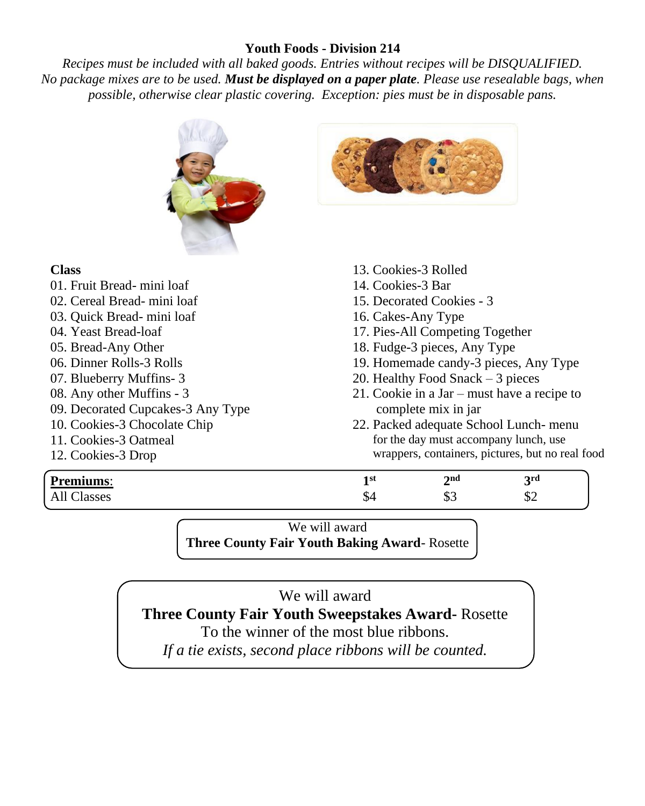### **Youth Foods - Division 214**

*Recipes must be included with all baked goods. Entries without recipes will be DISQUALIFIED. No package mixes are to be used. Must be displayed on a paper plate. Please use resealable bags, when possible, otherwise clear plastic covering. Exception: pies must be in disposable pans.* 



### **Class**

01. Fruit Bread- mini loaf 02. Cereal Bread- mi[ni loaf](https://creativecommons.org/licenses/by-sa/3.0/) 03. Quick Bread- mini loaf 04. Yeast Bread-loaf 05. Bread-Any Other 06. Dinner Rolls-3 Rolls 07. Blueberry Muffins- 3 08. Any other Muffins - 3 09. Decorated Cupcakes-3 Any Type 10. Cookies-3 Chocolate Chip 11. Cookies-3 Oatmeal 12. Cookies-3 Drop



- 13. Cookies-3 Rolled
- 14. Cookies-3 Bar
- 15. Decorated Cookies 3
- 16. Cakes-Any Type
- 17. Pies-All Competing Together
- 18. Fudge-3 pieces, Any Type
- 19. Homemade candy-3 pieces, Any Type
- 20. Healthy Food Snack 3 pieces
- 21. Cookie in a Jar must have a recipe to complete mix in jar
- 22. Packed adequate School Lunch- menu for the day must accompany lunch, use wrappers, containers, pictures, but no real food

| <b>Premiums:</b>          | 1 st | 2 <sub>na</sub><br>- | 2rd<br>ັ          |
|---------------------------|------|----------------------|-------------------|
| $\sim$<br>lasses<br>1 M.L | - D4 | ሐ⁄<br>∪ب             | $\triangle$<br>Φ∠ |

We will award **Three County Fair Youth Baking Award**- Rosette

# We will award

**Three County Fair Youth Sweepstakes Award-** Rosette

To the winner of the most blue ribbons.

*If a tie exists, second place ribbons will be counted.*